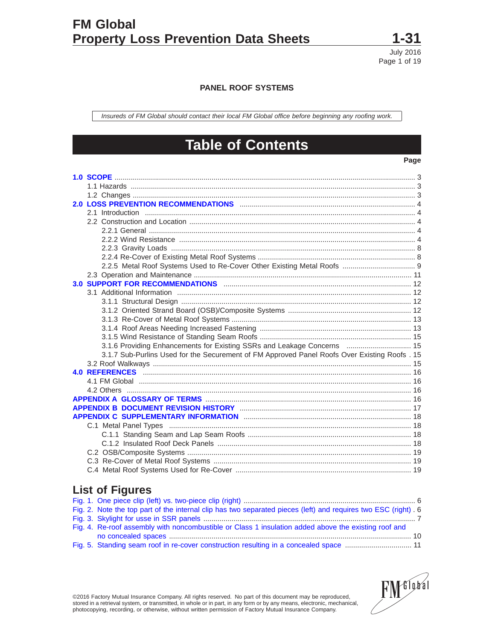

Page 1 of 19

**PANEL ROOF SYSTEMS**

Insureds of FM Global should contact their local FM Global office before beginning any roofing work.

# **Table of Contents**

# **Page**

| 3.1.6 Providing Enhancements for Existing SSRs and Leakage Concerns  15                       |  |
|-----------------------------------------------------------------------------------------------|--|
| 3.1.7 Sub-Purlins Used for the Securement of FM Approved Panel Roofs Over Existing Roofs . 15 |  |
|                                                                                               |  |
|                                                                                               |  |
|                                                                                               |  |
|                                                                                               |  |
|                                                                                               |  |
|                                                                                               |  |
|                                                                                               |  |
|                                                                                               |  |
|                                                                                               |  |
|                                                                                               |  |
|                                                                                               |  |
|                                                                                               |  |
|                                                                                               |  |

# **List of Figures**

| Fig. 2. Note the top part of the internal clip has two separated pieces (left) and requires two ESC (right) . 6 |
|-----------------------------------------------------------------------------------------------------------------|
|                                                                                                                 |
| Fig. 4. Re-roof assembly with noncombustible or Class 1 insulation added above the existing roof and            |
|                                                                                                                 |
| Fig. 5. Standing seam roof in re-cover construction resulting in a concealed space  11                          |



©2016 Factory Mutual Insurance Company. All rights reserved. No part of this document may be reproduced, stored in a retrieval system, or transmitted, in whole or in part, in any form or by any means, electronic, mechanical, photocopying, recording, or otherwise, without written permission of Factory Mutual Insurance Company.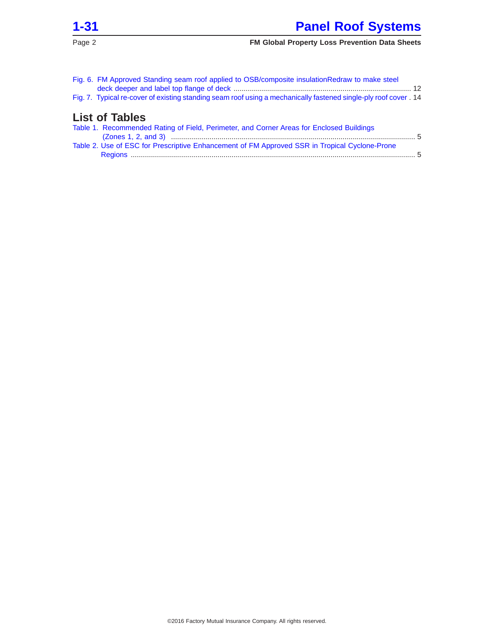

| Fig. 6. FM Approved Standing seam roof applied to OSB/composite insulationRedraw to make steel<br>Fig. 7. Typical re-cover of existing standing seam roof using a mechanically fastened single-ply roof cover . 14 |  |
|--------------------------------------------------------------------------------------------------------------------------------------------------------------------------------------------------------------------|--|
| <b>List of Tables</b>                                                                                                                                                                                              |  |
| Table 1. Recommended Rating of Field, Perimeter, and Corner Areas for Enclosed Buildings                                                                                                                           |  |
| Table 2. Use of ESC for Prescriptive Enhancement of FM Approved SSR in Tropical Cyclone-Prone                                                                                                                      |  |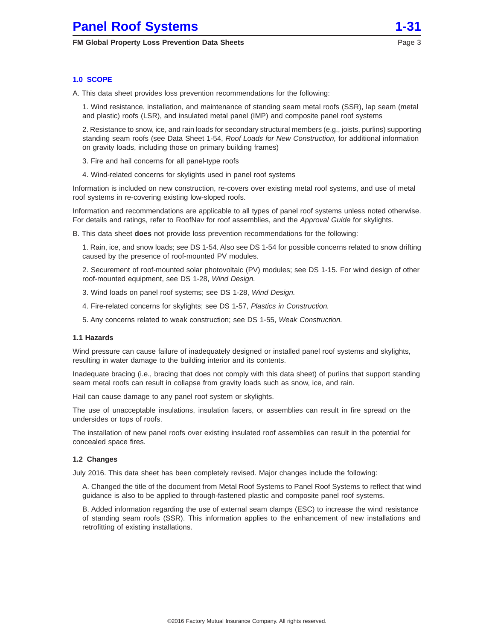# <span id="page-2-0"></span>**1.0 SCOPE**

A. This data sheet provides loss prevention recommendations for the following:

1. Wind resistance, installation, and maintenance of standing seam metal roofs (SSR), lap seam (metal and plastic) roofs (LSR), and insulated metal panel (IMP) and composite panel roof systems

2. Resistance to snow, ice, and rain loads for secondary structural members (e.g., joists, purlins) supporting standing seam roofs (see Data Sheet 1-54, Roof Loads for New Construction, for additional information on gravity loads, including those on primary building frames)

3. Fire and hail concerns for all panel-type roofs

4. Wind-related concerns for skylights used in panel roof systems

Information is included on new construction, re-covers over existing metal roof systems, and use of metal roof systems in re-covering existing low-sloped roofs.

Information and recommendations are applicable to all types of panel roof systems unless noted otherwise. For details and ratings, refer to RoofNav for roof assemblies, and the Approval Guide for skylights.

B. This data sheet **does** not provide loss prevention recommendations for the following:

1. Rain, ice, and snow loads; see DS 1-54. Also see DS 1-54 for possible concerns related to snow drifting caused by the presence of roof-mounted PV modules.

2. Securement of roof-mounted solar photovoltaic (PV) modules; see DS 1-15. For wind design of other roof-mounted equipment, see DS 1-28, Wind Design.

- 3. Wind loads on panel roof systems; see DS 1-28, Wind Design.
- 4. Fire-related concerns for skylights; see DS 1-57, Plastics in Construction.
- 5. Any concerns related to weak construction; see DS 1-55, Weak Construction.

#### **1.1 Hazards**

Wind pressure can cause failure of inadequately designed or installed panel roof systems and skylights, resulting in water damage to the building interior and its contents.

Inadequate bracing (i.e., bracing that does not comply with this data sheet) of purlins that support standing seam metal roofs can result in collapse from gravity loads such as snow, ice, and rain.

Hail can cause damage to any panel roof system or skylights.

The use of unacceptable insulations, insulation facers, or assemblies can result in fire spread on the undersides or tops of roofs.

The installation of new panel roofs over existing insulated roof assemblies can result in the potential for concealed space fires.

#### **1.2 Changes**

July 2016. This data sheet has been completely revised. Major changes include the following:

A. Changed the title of the document from Metal Roof Systems to Panel Roof Systems to reflect that wind guidance is also to be applied to through-fastened plastic and composite panel roof systems.

B. Added information regarding the use of external seam clamps (ESC) to increase the wind resistance of standing seam roofs (SSR). This information applies to the enhancement of new installations and retrofitting of existing installations.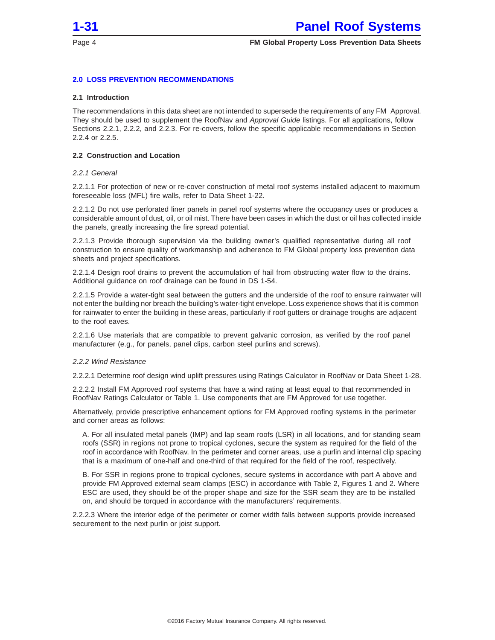<span id="page-3-0"></span>

# **2.0 LOSS PREVENTION RECOMMENDATIONS**

#### **2.1 Introduction**

The recommendations in this data sheet are not intended to supersede the requirements of any FM Approval. They should be used to supplement the RoofNav and Approval Guide listings. For all applications, follow Sections 2.2.1, 2.2.2, and 2.2.3. For re-covers, follow the specific applicable recommendations in Section 2.2.4 or 2.2.5.

#### **2.2 Construction and Location**

#### 2.2.1 General

2.2.1.1 For protection of new or re-cover construction of metal roof systems installed adjacent to maximum foreseeable loss (MFL) fire walls, refer to Data Sheet 1-22.

2.2.1.2 Do not use perforated liner panels in panel roof systems where the occupancy uses or produces a considerable amount of dust, oil, or oil mist. There have been cases in which the dust or oil has collected inside the panels, greatly increasing the fire spread potential.

2.2.1.3 Provide thorough supervision via the building owner's qualified representative during all roof construction to ensure quality of workmanship and adherence to FM Global property loss prevention data sheets and project specifications.

2.2.1.4 Design roof drains to prevent the accumulation of hail from obstructing water flow to the drains. Additional guidance on roof drainage can be found in DS 1-54.

2.2.1.5 Provide a water-tight seal between the gutters and the underside of the roof to ensure rainwater will not enter the building nor breach the building's water-tight envelope. Loss experience shows that it is common for rainwater to enter the building in these areas, particularly if roof gutters or drainage troughs are adjacent to the roof eaves.

2.2.1.6 Use materials that are compatible to prevent galvanic corrosion, as verified by the roof panel manufacturer (e.g., for panels, panel clips, carbon steel purlins and screws).

#### 2.2.2 Wind Resistance

2.2.2.1 Determine roof design wind uplift pressures using Ratings Calculator in RoofNav or Data Sheet 1-28.

2.2.2.2 Install FM Approved roof systems that have a wind rating at least equal to that recommended in RoofNav Ratings Calculator or Table 1. Use components that are FM Approved for use together.

Alternatively, provide prescriptive enhancement options for FM Approved roofing systems in the perimeter and corner areas as follows:

A. For all insulated metal panels (IMP) and lap seam roofs (LSR) in all locations, and for standing seam roofs (SSR) in regions not prone to tropical cyclones, secure the system as required for the field of the roof in accordance with RoofNav. In the perimeter and corner areas, use a purlin and internal clip spacing that is a maximum of one-half and one-third of that required for the field of the roof, respectively.

B. For SSR in regions prone to tropical cyclones, secure systems in accordance with part A above and provide FM Approved external seam clamps (ESC) in accordance with Table 2, Figures 1 and 2. Where ESC are used, they should be of the proper shape and size for the SSR seam they are to be installed on, and should be torqued in accordance with the manufacturers' requirements.

2.2.2.3 Where the interior edge of the perimeter or corner width falls between supports provide increased securement to the next purlin or joist support.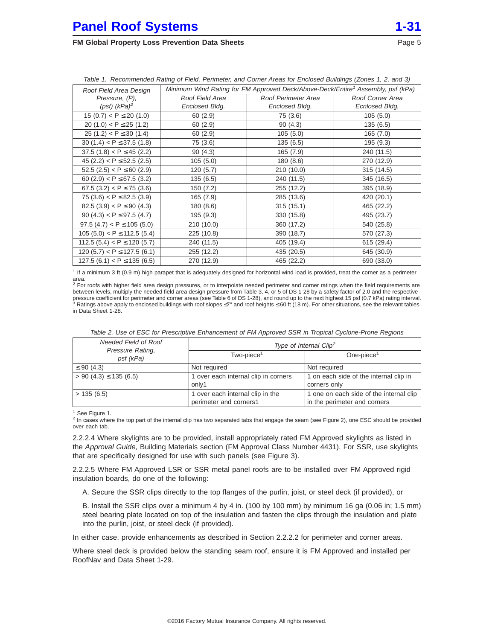<span id="page-4-0"></span>

| Table 1. Recommended Rating of Field, Perimeter, and Corner Areas for Enclosed Buildings (Zones 1, 2, and 3) |                                                                                             |                     |                  |  |
|--------------------------------------------------------------------------------------------------------------|---------------------------------------------------------------------------------------------|---------------------|------------------|--|
| Roof Field Area Design                                                                                       | Minimum Wind Rating for FM Approved Deck/Above-Deck/Entire <sup>1</sup> Assembly, psf (kPa) |                     |                  |  |
| Pressure, (P),                                                                                               | Roof Field Area                                                                             | Roof Perimeter Area | Roof Corner Area |  |
| (psf) (kPa) <sup>2</sup>                                                                                     | Enclosed Bldg.                                                                              | Enclosed Bldg.      | Ecnlosed Bldg.   |  |
| 15 (0.7) < $P \le 20$ (1.0)                                                                                  | 60(2.9)                                                                                     | 75 (3.6)            | 105(5.0)         |  |
| 20 (1.0) < $P \le 25$ (1.2)                                                                                  | 60(2.9)                                                                                     | 90(4.3)             | 135(6.5)         |  |
| 25 (1.2) < $P \le 30$ (1.4)                                                                                  | 60(2.9)                                                                                     | 105(5.0)            | 165(7.0)         |  |
| 30 (1.4) < $P \le 37.5$ (1.8)                                                                                | 75 (3.6)                                                                                    | 135(6.5)            | 195 (9.3)        |  |
| $37.5(1.8) < P \le 45(2.2)$                                                                                  | 90(4.3)                                                                                     | 165(7.9)            | 240 (11.5)       |  |
| 45 (2.2) < $P \le 52.5$ (2.5)                                                                                | 105(5.0)                                                                                    | 180 (8.6)           | 270 (12.9)       |  |
| 52.5 (2.5) < $P \le 60$ (2.9)                                                                                | 120(5.7)                                                                                    | 210 (10.0)          | 315 (14.5)       |  |
| 60 (2.9) < $P \le 67.5$ (3.2)                                                                                | 135(6.5)                                                                                    | 240 (11.5)          | 345 (16.5)       |  |
| 67.5 (3.2) < $P \le 75$ (3.6)                                                                                | 150 (7.2)                                                                                   | 255 (12.2)          | 395 (18.9)       |  |
| 75 (3.6) $ < P \leq 82.5$ (3.9)                                                                              | 165(7.9)                                                                                    | 285 (13.6)          | 420 (20.1)       |  |
| 82.5 (3.9) < $P \le 90$ (4.3)                                                                                | 180 (8.6)                                                                                   | 315(15.1)           | 465 (22.2)       |  |
| 90 (4.3) < $P \le 97.5$ (4.7)                                                                                | 195 (9.3)                                                                                   | 330 (15.8)          | 495 (23.7)       |  |
| 97.5 (4.7) < $P \le 105$ (5.0)                                                                               | 210 (10.0)                                                                                  | 360 (17.2)          | 540 (25.8)       |  |
| $105(5.0) < P \le 112.5(5.4)$                                                                                | 225 (10.8)                                                                                  | 390 (18.7)          | 570 (27.3)       |  |
| 112.5 (5.4) < $P \le 120$ (5.7)                                                                              | 240 (11.5)                                                                                  | 405 (19.4)          | 615 (29.4)       |  |
| 120 (5.7) < $P \le 127.5$ (6.1)                                                                              | 255 (12.2)                                                                                  | 435 (20.5)          | 645 (30.9)       |  |
| 127.5 (6.1) < $P \le 135$ (6.5)                                                                              | 270 (12.9)                                                                                  | 465 (22.2)          | 690 (33.0)       |  |

|  |  | Table 1. Recommended Rating of Field, Perimeter, and Corner Areas for Enclosed Buildings (Zones 1, 2, and 3) |
|--|--|--------------------------------------------------------------------------------------------------------------|
|--|--|--------------------------------------------------------------------------------------------------------------|

<sup>1</sup> If a minimum 3 ft (0.9 m) high parapet that is adequately designed for horizontal wind load is provided, treat the corner as a perimeter

area.<br><sup>2</sup> For roofs with higher field area design pressures, or to interpolate needed perimeter and corner ratings when the field requirements are between levels, multiply the needed field area design pressure from Table 3, 4, or 5 of DS 1-28 by a safety factor of 2.0 and the respective pressure coefficient for perimeter and corner areas (see Table 6 of DS 1-28), and round up to the next highest 15 psf (0.7 kPa) rating interval.<br><sup>3</sup> Ratings above apply to enclosed buildings with roof slopes ≤7° and roof in Data Sheet 1-28.

| Needed Field of Roof<br>Pressure Rating, | Type of Internal Clip <sup>2</sup>                         |                                                                         |  |
|------------------------------------------|------------------------------------------------------------|-------------------------------------------------------------------------|--|
| psf (kPa)                                | $Two$ -piece $1$                                           | One-piece $1$                                                           |  |
| $\leq$ 90 (4.3)                          | Not required                                               | Not required                                                            |  |
| $> 90$ (4.3) $\leq$ 135 (6.5)            | 1 over each internal clip in corners                       | 1 on each side of the internal clip in                                  |  |
|                                          | only1                                                      | corners only                                                            |  |
| > 135(6.5)                               | 1 over each internal clip in the<br>perimeter and corners1 | 1 one on each side of the internal clip<br>in the perimeter and corners |  |

Table 2. Use of ESC for Prescriptive Enhancement of FM Approved SSR in Tropical Cyclone-Prone Regions

<sup>1</sup> See Figure 1.

 $2$  In cases where the top part of the internal clip has two separated tabs that engage the seam (see Figure 2), one ESC should be provided over each tab.

2.2.2.4 Where skylights are to be provided, install appropriately rated FM Approved skylights as listed in the Approval Guide, Building Materials section (FM Approval Class Number 4431). For SSR, use skylights that are specifically designed for use with such panels (see Figure 3).

2.2.2.5 Where FM Approved LSR or SSR metal panel roofs are to be installed over FM Approved rigid insulation boards, do one of the following:

A. Secure the SSR clips directly to the top flanges of the purlin, joist, or steel deck (if provided), or

B. Install the SSR clips over a minimum 4 by 4 in. (100 by 100 mm) by minimum 16 ga (0.06 in; 1.5 mm) steel bearing plate located on top of the insulation and fasten the clips through the insulation and plate into the purlin, joist, or steel deck (if provided).

In either case, provide enhancements as described in Section 2.2.2.2 for perimeter and corner areas.

Where steel deck is provided below the standing seam roof, ensure it is FM Approved and installed per RoofNav and Data Sheet 1-29.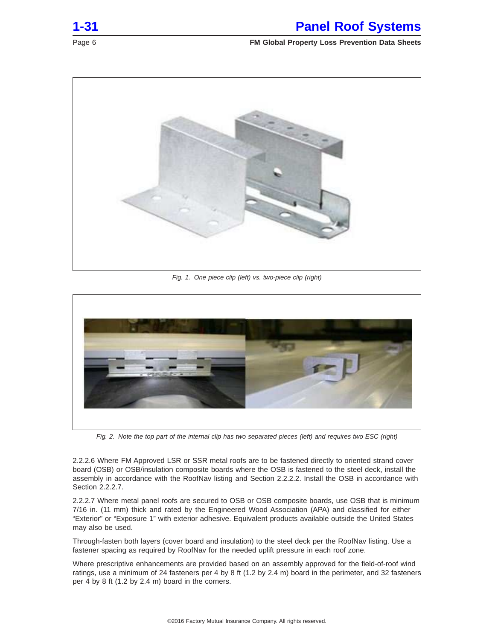<span id="page-5-0"></span>



Fig. 1. One piece clip (left) vs. two-piece clip (right)



Fig. 2. Note the top part of the internal clip has two separated pieces (left) and requires two ESC (right)

2.2.2.6 Where FM Approved LSR or SSR metal roofs are to be fastened directly to oriented strand cover board (OSB) or OSB/insulation composite boards where the OSB is fastened to the steel deck, install the assembly in accordance with the RoofNav listing and Section 2.2.2.2. Install the OSB in accordance with Section 2.2.2.7.

2.2.2.7 Where metal panel roofs are secured to OSB or OSB composite boards, use OSB that is minimum 7/16 in. (11 mm) thick and rated by the Engineered Wood Association (APA) and classified for either "Exterior" or "Exposure 1" with exterior adhesive. Equivalent products available outside the United States may also be used.

Through-fasten both layers (cover board and insulation) to the steel deck per the RoofNav listing. Use a fastener spacing as required by RoofNav for the needed uplift pressure in each roof zone.

Where prescriptive enhancements are provided based on an assembly approved for the field-of-roof wind ratings, use a minimum of 24 fasteners per 4 by 8 ft (1.2 by 2.4 m) board in the perimeter, and 32 fasteners per 4 by 8 ft (1.2 by 2.4 m) board in the corners.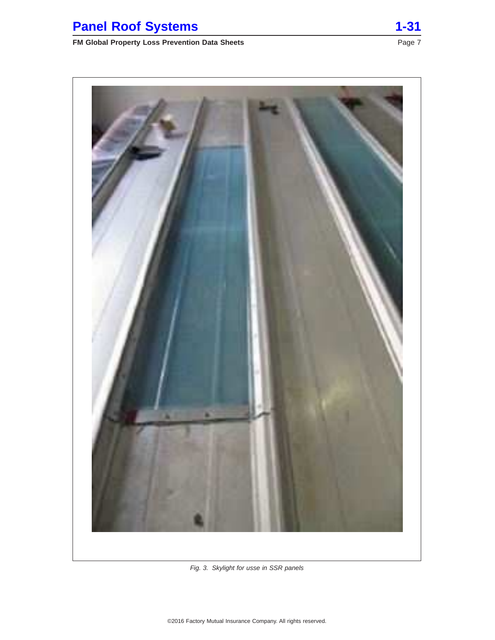# <span id="page-6-0"></span>**Panel Roof Systems 1-31**

# **FM Global Property Loss Prevention Data Sheets** Page 7 Page 7



Fig. 3. Skylight for usse in SSR panels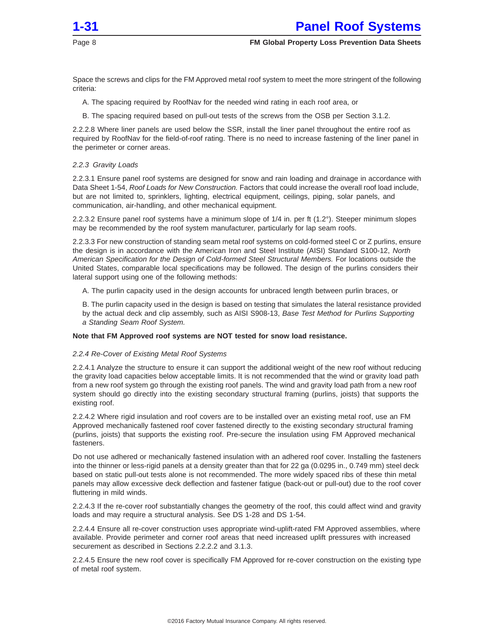<span id="page-7-0"></span>

Space the screws and clips for the FM Approved metal roof system to meet the more stringent of the following criteria:

- A. The spacing required by RoofNav for the needed wind rating in each roof area, or
- B. The spacing required based on pull-out tests of the screws from the OSB per Section 3.1.2.

2.2.2.8 Where liner panels are used below the SSR, install the liner panel throughout the entire roof as required by RoofNav for the field-of-roof rating. There is no need to increase fastening of the liner panel in the perimeter or corner areas.

#### 2.2.3 Gravity Loads

2.2.3.1 Ensure panel roof systems are designed for snow and rain loading and drainage in accordance with Data Sheet 1-54, Roof Loads for New Construction. Factors that could increase the overall roof load include, but are not limited to, sprinklers, lighting, electrical equipment, ceilings, piping, solar panels, and communication, air-handling, and other mechanical equipment.

2.2.3.2 Ensure panel roof systems have a minimum slope of 1/4 in. per ft (1.2°). Steeper minimum slopes may be recommended by the roof system manufacturer, particularly for lap seam roofs.

2.2.3.3 For new construction of standing seam metal roof systems on cold-formed steel C or Z purlins, ensure the design is in accordance with the American Iron and Steel Institute (AISI) Standard S100-12, North American Specification for the Design of Cold-formed Steel Structural Members. For locations outside the United States, comparable local specifications may be followed. The design of the purlins considers their lateral support using one of the following methods:

A. The purlin capacity used in the design accounts for unbraced length between purlin braces, or

B. The purlin capacity used in the design is based on testing that simulates the lateral resistance provided by the actual deck and clip assembly, such as AISI S908-13, Base Test Method for Purlins Supporting a Standing Seam Roof System.

#### **Note that FM Approved roof systems are NOT tested for snow load resistance.**

#### 2.2.4 Re-Cover of Existing Metal Roof Systems

2.2.4.1 Analyze the structure to ensure it can support the additional weight of the new roof without reducing the gravity load capacities below acceptable limits. It is not recommended that the wind or gravity load path from a new roof system go through the existing roof panels. The wind and gravity load path from a new roof system should go directly into the existing secondary structural framing (purlins, joists) that supports the existing roof.

2.2.4.2 Where rigid insulation and roof covers are to be installed over an existing metal roof, use an FM Approved mechanically fastened roof cover fastened directly to the existing secondary structural framing (purlins, joists) that supports the existing roof. Pre-secure the insulation using FM Approved mechanical fasteners.

Do not use adhered or mechanically fastened insulation with an adhered roof cover. Installing the fasteners into the thinner or less-rigid panels at a density greater than that for 22 ga (0.0295 in., 0.749 mm) steel deck based on static pull-out tests alone is not recommended. The more widely spaced ribs of these thin metal panels may allow excessive deck deflection and fastener fatigue (back-out or pull-out) due to the roof cover fluttering in mild winds.

2.2.4.3 If the re-cover roof substantially changes the geometry of the roof, this could affect wind and gravity loads and may require a structural analysis. See DS 1-28 and DS 1-54.

2.2.4.4 Ensure all re-cover construction uses appropriate wind-uplift-rated FM Approved assemblies, where available. Provide perimeter and corner roof areas that need increased uplift pressures with increased securement as described in Sections 2.2.2.2 and 3.1.3.

2.2.4.5 Ensure the new roof cover is specifically FM Approved for re-cover construction on the existing type of metal roof system.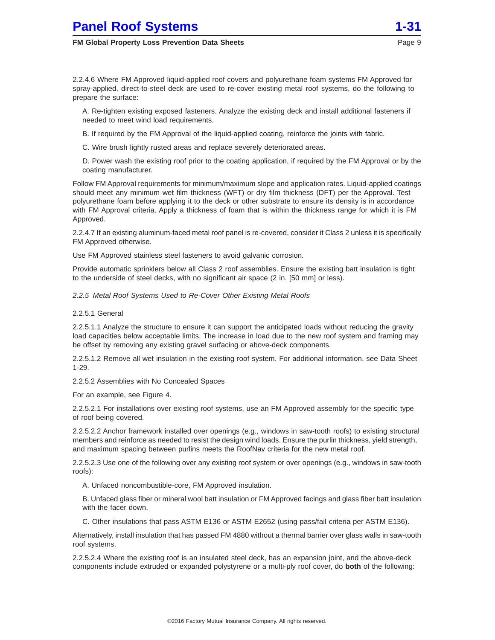# <span id="page-8-0"></span>**Panel Roof Systems**

#### **FM Global Property Loss Prevention Data Sheets**

2.2.4.6 Where FM Approved liquid-applied roof covers and polyurethane foam systems FM Approved for spray-applied, direct-to-steel deck are used to re-cover existing metal roof systems, do the following to prepare the surface:

A. Re-tighten existing exposed fasteners. Analyze the existing deck and install additional fasteners if needed to meet wind load requirements.

B. If required by the FM Approval of the liquid-applied coating, reinforce the joints with fabric.

C. Wire brush lightly rusted areas and replace severely deteriorated areas.

D. Power wash the existing roof prior to the coating application, if required by the FM Approval or by the coating manufacturer.

Follow FM Approval requirements for minimum/maximum slope and application rates. Liquid-applied coatings should meet any minimum wet film thickness (WFT) or dry film thickness (DFT) per the Approval. Test polyurethane foam before applying it to the deck or other substrate to ensure its density is in accordance with FM Approval criteria. Apply a thickness of foam that is within the thickness range for which it is FM Approved.

2.2.4.7 If an existing aluminum-faced metal roof panel is re-covered, consider it Class 2 unless it is specifically FM Approved otherwise.

Use FM Approved stainless steel fasteners to avoid galvanic corrosion.

Provide automatic sprinklers below all Class 2 roof assemblies. Ensure the existing batt insulation is tight to the underside of steel decks, with no significant air space (2 in. [50 mm] or less).

2.2.5 Metal Roof Systems Used to Re-Cover Other Existing Metal Roofs

2.2.5.1 General

2.2.5.1.1 Analyze the structure to ensure it can support the anticipated loads without reducing the gravity load capacities below acceptable limits. The increase in load due to the new roof system and framing may be offset by removing any existing gravel surfacing or above-deck components.

2.2.5.1.2 Remove all wet insulation in the existing roof system. For additional information, see Data Sheet 1-29.

2.2.5.2 Assemblies with No Concealed Spaces

For an example, see Figure 4.

2.2.5.2.1 For installations over existing roof systems, use an FM Approved assembly for the specific type of roof being covered.

2.2.5.2.2 Anchor framework installed over openings (e.g., windows in saw-tooth roofs) to existing structural members and reinforce as needed to resist the design wind loads. Ensure the purlin thickness, yield strength, and maximum spacing between purlins meets the RoofNav criteria for the new metal roof.

2.2.5.2.3 Use one of the following over any existing roof system or over openings (e.g., windows in saw-tooth roofs):

A. Unfaced noncombustible-core, FM Approved insulation.

B. Unfaced glass fiber or mineral wool batt insulation or FM Approved facings and glass fiber batt insulation with the facer down.

C. Other insulations that pass ASTM E136 or ASTM E2652 (using pass/fail criteria per ASTM E136).

Alternatively, install insulation that has passed FM 4880 without a thermal barrier over glass walls in saw-tooth roof systems.

2.2.5.2.4 Where the existing roof is an insulated steel deck, has an expansion joint, and the above-deck components include extruded or expanded polystyrene or a multi-ply roof cover, do **both** of the following: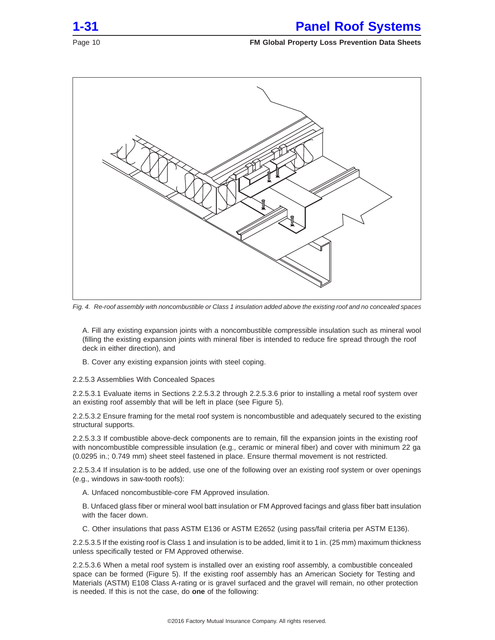<span id="page-9-0"></span>

Fig. 4. Re-roof assembly with noncombustible or Class 1 insulation added above the existing roof and no concealed spaces

A. Fill any existing expansion joints with a noncombustible compressible insulation such as mineral wool (filling the existing expansion joints with mineral fiber is intended to reduce fire spread through the roof deck in either direction), and

B. Cover any existing expansion joints with steel coping.

2.2.5.3 Assemblies With Concealed Spaces

2.2.5.3.1 Evaluate items in Sections 2.2.5.3.2 through 2.2.5.3.6 prior to installing a metal roof system over an existing roof assembly that will be left in place (see Figure 5).

2.2.5.3.2 Ensure framing for the metal roof system is noncombustible and adequately secured to the existing structural supports.

2.2.5.3.3 If combustible above-deck components are to remain, fill the expansion joints in the existing roof with noncombustible compressible insulation (e.g., ceramic or mineral fiber) and cover with minimum 22 ga (0.0295 in.; 0.749 mm) sheet steel fastened in place. Ensure thermal movement is not restricted.

2.2.5.3.4 If insulation is to be added, use one of the following over an existing roof system or over openings (e.g., windows in saw-tooth roofs):

A. Unfaced noncombustible-core FM Approved insulation.

B. Unfaced glass fiber or mineral wool batt insulation or FM Approved facings and glass fiber batt insulation with the facer down.

C. Other insulations that pass ASTM E136 or ASTM E2652 (using pass/fail criteria per ASTM E136).

2.2.5.3.5 If the existing roof is Class 1 and insulation is to be added, limit it to 1 in. (25 mm) maximum thickness unless specifically tested or FM Approved otherwise.

2.2.5.3.6 When a metal roof system is installed over an existing roof assembly, a combustible concealed space can be formed (Figure 5). If the existing roof assembly has an American Society for Testing and Materials (ASTM) E108 Class A-rating or is gravel surfaced and the gravel will remain, no other protection is needed. If this is not the case, do **one** of the following: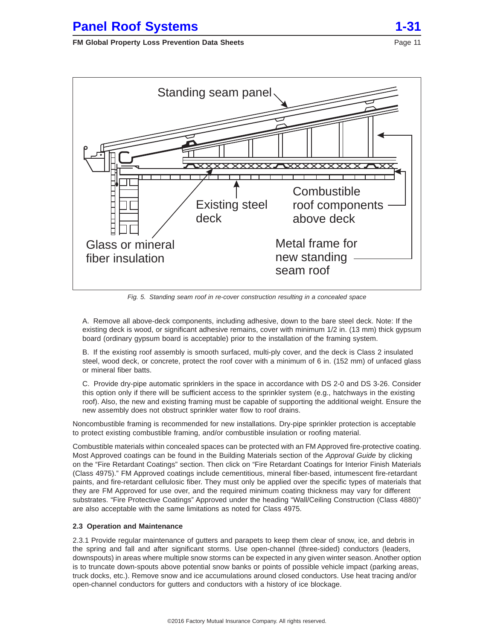<span id="page-10-0"></span>

Fig. 5. Standing seam roof in re-cover construction resulting in a concealed space

A. Remove all above-deck components, including adhesive, down to the bare steel deck. Note: If the existing deck is wood, or significant adhesive remains, cover with minimum 1/2 in. (13 mm) thick gypsum board (ordinary gypsum board is acceptable) prior to the installation of the framing system.

B. If the existing roof assembly is smooth surfaced, multi-ply cover, and the deck is Class 2 insulated steel, wood deck, or concrete, protect the roof cover with a minimum of 6 in. (152 mm) of unfaced glass or mineral fiber batts.

C. Provide dry-pipe automatic sprinklers in the space in accordance with DS 2-0 and DS 3-26. Consider this option only if there will be sufficient access to the sprinkler system (e.g., hatchways in the existing roof). Also, the new and existing framing must be capable of supporting the additional weight. Ensure the new assembly does not obstruct sprinkler water flow to roof drains.

Noncombustible framing is recommended for new installations. Dry-pipe sprinkler protection is acceptable to protect existing combustible framing, and/or combustible insulation or roofing material.

Combustible materials within concealed spaces can be protected with an FM Approved fire-protective coating. Most Approved coatings can be found in the Building Materials section of the Approval Guide by clicking on the "Fire Retardant Coatings" section. Then click on "Fire Retardant Coatings for Interior Finish Materials (Class 4975)." FM Approved coatings include cementitious, mineral fiber-based, intumescent fire-retardant paints, and fire-retardant cellulosic fiber. They must only be applied over the specific types of materials that they are FM Approved for use over, and the required minimum coating thickness may vary for different substrates. "Fire Protective Coatings" Approved under the heading "Wall/Ceiling Construction (Class 4880)" are also acceptable with the same limitations as noted for Class 4975.

# **2.3 Operation and Maintenance**

2.3.1 Provide regular maintenance of gutters and parapets to keep them clear of snow, ice, and debris in the spring and fall and after significant storms. Use open-channel (three-sided) conductors (leaders, downspouts) in areas where multiple snow storms can be expected in any given winter season. Another option is to truncate down-spouts above potential snow banks or points of possible vehicle impact (parking areas, truck docks, etc.). Remove snow and ice accumulations around closed conductors. Use heat tracing and/or open-channel conductors for gutters and conductors with a history of ice blockage.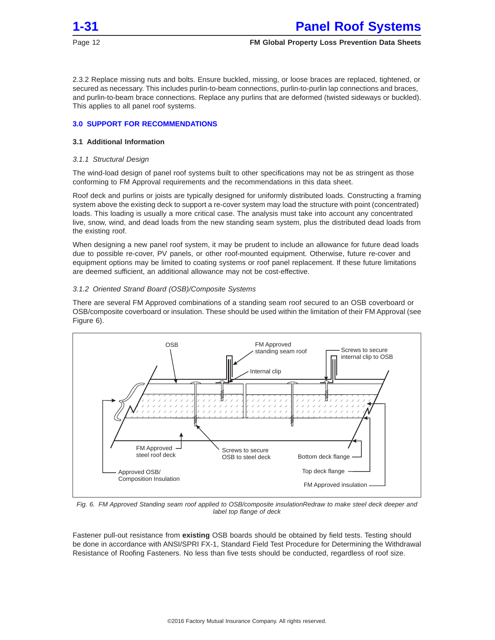<span id="page-11-0"></span>

2.3.2 Replace missing nuts and bolts. Ensure buckled, missing, or loose braces are replaced, tightened, or secured as necessary. This includes purlin-to-beam connections, purlin-to-purlin lap connections and braces, and purlin-to-beam brace connections. Replace any purlins that are deformed (twisted sideways or buckled). This applies to all panel roof systems.

### **3.0 SUPPORT FOR RECOMMENDATIONS**

# **3.1 Additional Information**

#### 3.1.1 Structural Design

The wind-load design of panel roof systems built to other specifications may not be as stringent as those conforming to FM Approval requirements and the recommendations in this data sheet.

Roof deck and purlins or joists are typically designed for uniformly distributed loads. Constructing a framing system above the existing deck to support a re-cover system may load the structure with point (concentrated) loads. This loading is usually a more critical case. The analysis must take into account any concentrated live, snow, wind, and dead loads from the new standing seam system, plus the distributed dead loads from the existing roof.

When designing a new panel roof system, it may be prudent to include an allowance for future dead loads due to possible re-cover, PV panels, or other roof-mounted equipment. Otherwise, future re-cover and equipment options may be limited to coating systems or roof panel replacement. If these future limitations are deemed sufficient, an additional allowance may not be cost-effective.

# 3.1.2 Oriented Strand Board (OSB)/Composite Systems

There are several FM Approved combinations of a standing seam roof secured to an OSB coverboard or OSB/composite coverboard or insulation. These should be used within the limitation of their FM Approval (see Figure 6).



Fig. 6. FM Approved Standing seam roof applied to OSB/composite insulationRedraw to make steel deck deeper and label top flange of deck

Fastener pull-out resistance from **existing** OSB boards should be obtained by field tests. Testing should be done in accordance with ANSI/SPRI FX-1, Standard Field Test Procedure for Determining the Withdrawal Resistance of Roofing Fasteners. No less than five tests should be conducted, regardless of roof size.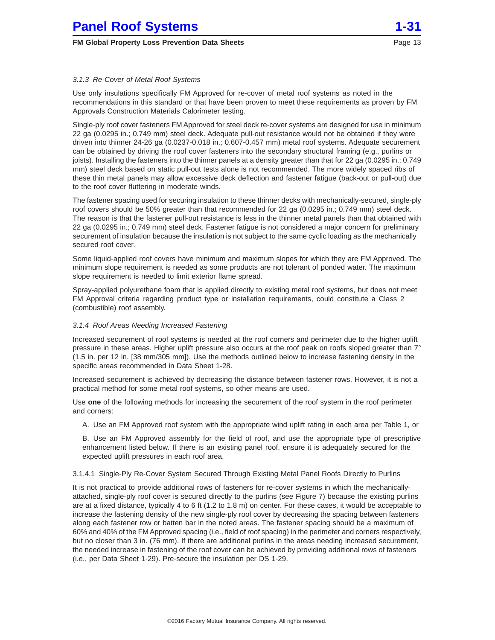# <span id="page-12-0"></span>3.1.3 Re-Cover of Metal Roof Systems

Use only insulations specifically FM Approved for re-cover of metal roof systems as noted in the recommendations in this standard or that have been proven to meet these requirements as proven by FM Approvals Construction Materials Calorimeter testing.

Single-ply roof cover fasteners FM Approved for steel deck re-cover systems are designed for use in minimum 22 ga (0.0295 in.; 0.749 mm) steel deck. Adequate pull-out resistance would not be obtained if they were driven into thinner 24-26 ga (0.0237-0.018 in.; 0.607-0.457 mm) metal roof systems. Adequate securement can be obtained by driving the roof cover fasteners into the secondary structural framing (e.g., purlins or joists). Installing the fasteners into the thinner panels at a density greater than that for 22 ga (0.0295 in.; 0.749 mm) steel deck based on static pull-out tests alone is not recommended. The more widely spaced ribs of these thin metal panels may allow excessive deck deflection and fastener fatigue (back-out or pull-out) due to the roof cover fluttering in moderate winds.

The fastener spacing used for securing insulation to these thinner decks with mechanically-secured, single-ply roof covers should be 50% greater than that recommended for 22 ga (0.0295 in.; 0.749 mm) steel deck. The reason is that the fastener pull-out resistance is less in the thinner metal panels than that obtained with 22 ga (0.0295 in.; 0.749 mm) steel deck. Fastener fatigue is not considered a major concern for preliminary securement of insulation because the insulation is not subject to the same cyclic loading as the mechanically secured roof cover.

Some liquid-applied roof covers have minimum and maximum slopes for which they are FM Approved. The minimum slope requirement is needed as some products are not tolerant of ponded water. The maximum slope requirement is needed to limit exterior flame spread.

Spray-applied polyurethane foam that is applied directly to existing metal roof systems, but does not meet FM Approval criteria regarding product type or installation requirements, could constitute a Class 2 (combustible) roof assembly.

#### 3.1.4 Roof Areas Needing Increased Fastening

Increased securement of roof systems is needed at the roof corners and perimeter due to the higher uplift pressure in these areas. Higher uplift pressure also occurs at the roof peak on roofs sloped greater than 7° (1.5 in. per 12 in. [38 mm/305 mm]). Use the methods outlined below to increase fastening density in the specific areas recommended in Data Sheet 1-28.

Increased securement is achieved by decreasing the distance between fastener rows. However, it is not a practical method for some metal roof systems, so other means are used.

Use **one** of the following methods for increasing the securement of the roof system in the roof perimeter and corners:

A. Use an FM Approved roof system with the appropriate wind uplift rating in each area per Table 1, or

B. Use an FM Approved assembly for the field of roof, and use the appropriate type of prescriptive enhancement listed below. If there is an existing panel roof, ensure it is adequately secured for the expected uplift pressures in each roof area.

# 3.1.4.1 Single-Ply Re-Cover System Secured Through Existing Metal Panel Roofs Directly to Purlins

It is not practical to provide additional rows of fasteners for re-cover systems in which the mechanicallyattached, single-ply roof cover is secured directly to the purlins (see Figure 7) because the existing purlins are at a fixed distance, typically 4 to 6 ft (1.2 to 1.8 m) on center. For these cases, it would be acceptable to increase the fastening density of the new single-ply roof cover by decreasing the spacing between fasteners along each fastener row or batten bar in the noted areas. The fastener spacing should be a maximum of 60% and 40% of the FM Approved spacing (i.e., field of roof spacing) in the perimeter and corners respectively, but no closer than 3 in. (76 mm). If there are additional purlins in the areas needing increased securement, the needed increase in fastening of the roof cover can be achieved by providing additional rows of fasteners (i.e., per Data Sheet 1-29). Pre-secure the insulation per DS 1-29.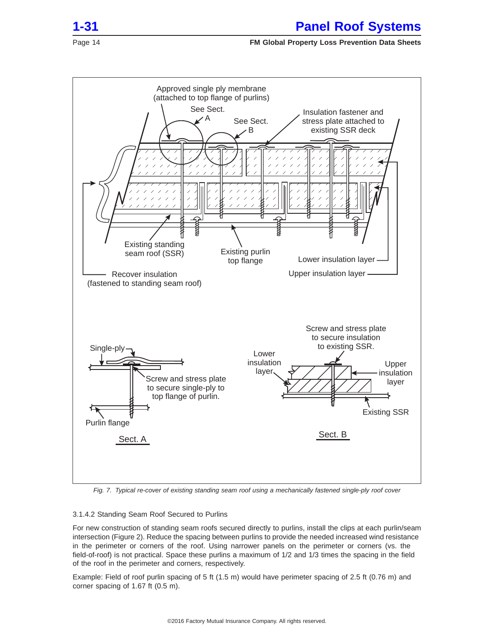<span id="page-13-0"></span>



Fig. 7. Typical re-cover of existing standing seam roof using a mechanically fastened single-ply roof cover

# 3.1.4.2 Standing Seam Roof Secured to Purlins

For new construction of standing seam roofs secured directly to purlins, install the clips at each purlin/seam intersection (Figure 2). Reduce the spacing between purlins to provide the needed increased wind resistance in the perimeter or corners of the roof. Using narrower panels on the perimeter or corners (vs. the field-of-roof) is not practical. Space these purlins a maximum of 1/2 and 1/3 times the spacing in the field of the roof in the perimeter and corners, respectively.

Example: Field of roof purlin spacing of 5 ft (1.5 m) would have perimeter spacing of 2.5 ft (0.76 m) and corner spacing of 1.67 ft (0.5 m).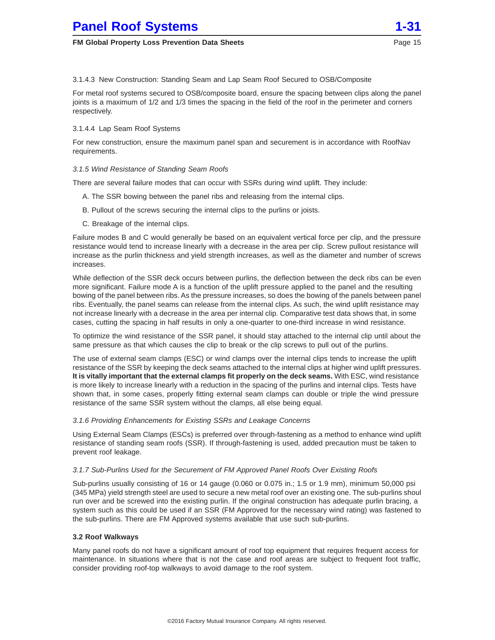

<span id="page-14-0"></span>3.1.4.3 New Construction: Standing Seam and Lap Seam Roof Secured to OSB/Composite

For metal roof systems secured to OSB/composite board, ensure the spacing between clips along the panel joints is a maximum of 1/2 and 1/3 times the spacing in the field of the roof in the perimeter and corners respectively.

# 3.1.4.4 Lap Seam Roof Systems

For new construction, ensure the maximum panel span and securement is in accordance with RoofNav requirements.

# 3.1.5 Wind Resistance of Standing Seam Roofs

There are several failure modes that can occur with SSRs during wind uplift. They include:

- A. The SSR bowing between the panel ribs and releasing from the internal clips.
- B. Pullout of the screws securing the internal clips to the purlins or joists.
- C. Breakage of the internal clips.

Failure modes B and C would generally be based on an equivalent vertical force per clip, and the pressure resistance would tend to increase linearly with a decrease in the area per clip. Screw pullout resistance will increase as the purlin thickness and yield strength increases, as well as the diameter and number of screws increases.

While deflection of the SSR deck occurs between purlins, the deflection between the deck ribs can be even more significant. Failure mode A is a function of the uplift pressure applied to the panel and the resulting bowing of the panel between ribs. As the pressure increases, so does the bowing of the panels between panel ribs. Eventually, the panel seams can release from the internal clips. As such, the wind uplift resistance may not increase linearly with a decrease in the area per internal clip. Comparative test data shows that, in some cases, cutting the spacing in half results in only a one-quarter to one-third increase in wind resistance.

To optimize the wind resistance of the SSR panel, it should stay attached to the internal clip until about the same pressure as that which causes the clip to break or the clip screws to pull out of the purlins.

The use of external seam clamps (ESC) or wind clamps over the internal clips tends to increase the uplift resistance of the SSR by keeping the deck seams attached to the internal clips at higher wind uplift pressures. **It is vitally important that the external clamps fit properly on the deck seams.** With ESC, wind resistance is more likely to increase linearly with a reduction in the spacing of the purlins and internal clips. Tests have shown that, in some cases, properly fitting external seam clamps can double or triple the wind pressure resistance of the same SSR system without the clamps, all else being equal.

# 3.1.6 Providing Enhancements for Existing SSRs and Leakage Concerns

Using External Seam Clamps (ESCs) is preferred over through-fastening as a method to enhance wind uplift resistance of standing seam roofs (SSR). If through-fastening is used, added precaution must be taken to prevent roof leakage.

# 3.1.7 Sub-Purlins Used for the Securement of FM Approved Panel Roofs Over Existing Roofs

Sub-purlins usually consisting of 16 or 14 gauge (0.060 or 0.075 in.; 1.5 or 1.9 mm), minimum 50,000 psi (345 MPa) yield strength steel are used to secure a new metal roof over an existing one. The sub-purlins shoul run over and be screwed into the existing purlin. If the original construction has adequate purlin bracing, a system such as this could be used if an SSR (FM Approved for the necessary wind rating) was fastened to the sub-purlins. There are FM Approved systems available that use such sub-purlins.

# **3.2 Roof Walkways**

Many panel roofs do not have a significant amount of roof top equipment that requires frequent access for maintenance. In situations where that is not the case and roof areas are subject to frequent foot traffic, consider providing roof-top walkways to avoid damage to the roof system.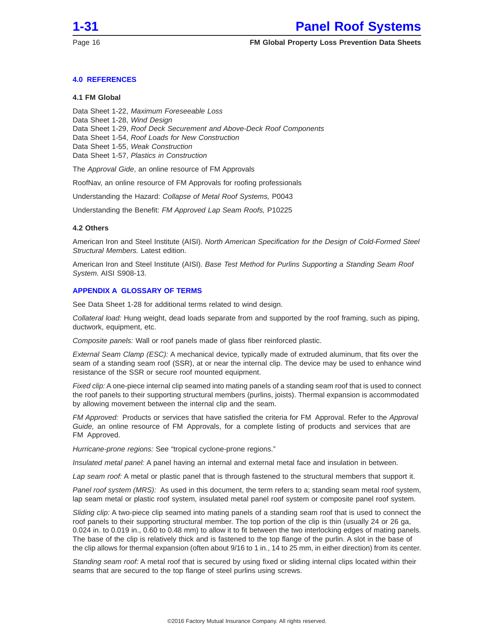<span id="page-15-0"></span>

# **4.0 REFERENCES**

# **4.1 FM Global**

Data Sheet 1-22, Maximum Foreseeable Loss Data Sheet 1-28, Wind Design Data Sheet 1-29, Roof Deck Securement and Above-Deck Roof Components Data Sheet 1-54, Roof Loads for New Construction

Data Sheet 1-55, Weak Construction

Data Sheet 1-57, Plastics in Construction

The Approval Gide, an online resource of FM Approvals

RoofNav, an online resource of FM Approvals for roofing professionals

Understanding the Hazard: Collapse of Metal Roof Systems, P0043

Understanding the Benefit: FM Approved Lap Seam Roofs, P10225

#### **4.2 Others**

American Iron and Steel Institute (AISI). North American Specification for the Design of Cold-Formed Steel Structural Members. Latest edition.

American Iron and Steel Institute (AISI). Base Test Method for Purlins Supporting a Standing Seam Roof System. AISI S908-13.

#### **APPENDIX A GLOSSARY OF TERMS**

See Data Sheet 1-28 for additional terms related to wind design.

Collateral load: Hung weight, dead loads separate from and supported by the roof framing, such as piping, ductwork, equipment, etc.

Composite panels: Wall or roof panels made of glass fiber reinforced plastic.

External Seam Clamp (ESC): A mechanical device, typically made of extruded aluminum, that fits over the seam of a standing seam roof (SSR), at or near the internal clip. The device may be used to enhance wind resistance of the SSR or secure roof mounted equipment.

Fixed clip: A one-piece internal clip seamed into mating panels of a standing seam roof that is used to connect the roof panels to their supporting structural members (purlins, joists). Thermal expansion is accommodated by allowing movement between the internal clip and the seam.

FM Approved: Products or services that have satisfied the criteria for FM Approval. Refer to the Approval Guide, an online resource of FM Approvals, for a complete listing of products and services that are FM Approved.

Hurricane-prone regions: See "tropical cyclone-prone regions."

Insulated metal panel: A panel having an internal and external metal face and insulation in between.

Lap seam roof: A metal or plastic panel that is through fastened to the structural members that support it.

Panel roof system (MRS): As used in this document, the term refers to a; standing seam metal roof system, lap seam metal or plastic roof system, insulated metal panel roof system or composite panel roof system.

Sliding clip: A two-piece clip seamed into mating panels of a standing seam roof that is used to connect the roof panels to their supporting structural member. The top portion of the clip is thin (usually 24 or 26 ga, 0.024 in. to 0.019 in., 0.60 to 0.48 mm) to allow it to fit between the two interlocking edges of mating panels. The base of the clip is relatively thick and is fastened to the top flange of the purlin. A slot in the base of the clip allows for thermal expansion (often about 9/16 to 1 in., 14 to 25 mm, in either direction) from its center.

Standing seam roof: A metal roof that is secured by using fixed or sliding internal clips located within their seams that are secured to the top flange of steel purlins using screws.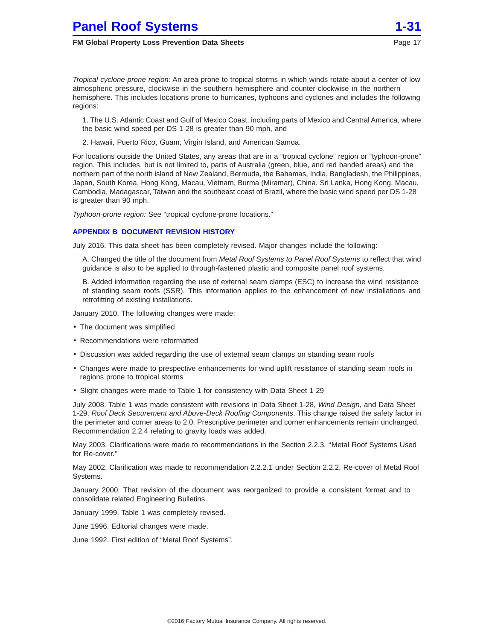<span id="page-16-0"></span>Tropical cyclone-prone region: An area prone to tropical storms in which winds rotate about a center of low atmospheric pressure, clockwise in the southern hemisphere and counter-clockwise in the northern hemisphere. This includes locations prone to hurricanes, typhoons and cyclones and includes the following regions:

1. The U.S. Atlantic Coast and Gulf of Mexico Coast, including parts of Mexico and Central America, where the basic wind speed per DS 1-28 is greater than 90 mph, and

2. Hawaii, Puerto Rico, Guam, Virgin Island, and American Samoa.

For locations outside the United States, any areas that are in a "tropical cyclone" region or "typhoon-prone" region. This includes, but is not limited to, parts of Australia (green, blue, and red banded areas) and the northern part of the north island of New Zealand, Bermuda, the Bahamas, India, Bangladesh, the Philippines, Japan, South Korea, Hong Kong, Macau, Vietnam, Burma (Miramar), China, Sri Lanka, Hong Kong, Macau, Cambodia, Madagascar, Taiwan and the southeast coast of Brazil, where the basic wind speed per DS 1-28 is greater than 90 mph.

Typhoon-prone region: See "tropical cyclone-prone locations."

# **APPENDIX B DOCUMENT REVISION HISTORY**

July 2016. This data sheet has been completely revised. Major changes include the following:

A. Changed the title of the document from Metal Roof Systems to Panel Roof Systems to reflect that wind guidance is also to be applied to through-fastened plastic and composite panel roof systems.

B. Added information regarding the use of external seam clamps (ESC) to increase the wind resistance of standing seam roofs (SSR). This information applies to the enhancement of new installations and retrofitting of existing installations.

January 2010. The following changes were made:

- The document was simplified
- Recommendations were reformatted
- Discussion was added regarding the use of external seam clamps on standing seam roofs
- Changes were made to prespective enhancements for wind uplift resistance of standing seam roofs in regions prone to tropical storms
- Slight changes were made to Table 1 for consistency with Data Sheet 1-29

July 2008. Table 1 was made consistent with revisions in Data Sheet 1-28, Wind Design, and Data Sheet 1-29, Roof Deck Securement and Above-Deck Roofing Components. This change raised the safety factor in the perimeter and corner areas to 2.0. Prescriptive perimeter and corner enhancements remain unchanged. Recommendation 2.2.4 relating to gravity loads was added.

May 2003. Clarifications were made to recommendations in the Section 2.2.3, ''Metal Roof Systems Used for Re-cover.''

May 2002. Clarification was made to recommendation 2.2.2.1 under Section 2.2.2, Re-cover of Metal Roof Systems.

January 2000. That revision of the document was reorganized to provide a consistent format and to consolidate related Engineering Bulletins.

January 1999. Table 1 was completely revised.

June 1996. Editorial changes were made.

June 1992. First edition of "Metal Roof Systems".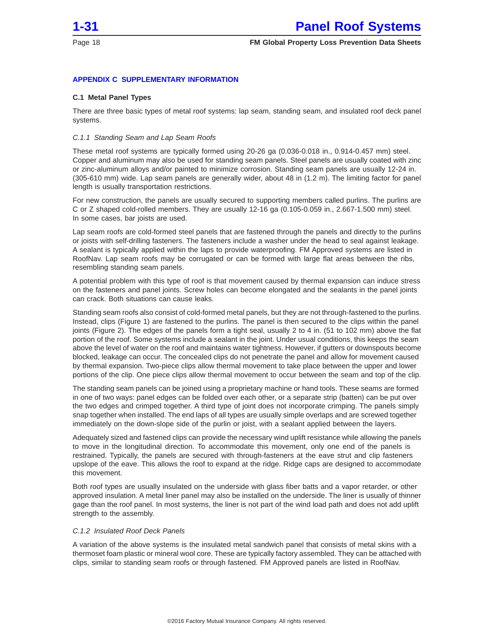<span id="page-17-0"></span>

# **APPENDIX C SUPPLEMENTARY INFORMATION**

#### **C.1 Metal Panel Types**

There are three basic types of metal roof systems: lap seam, standing seam, and insulated roof deck panel systems.

#### C.1.1 Standing Seam and Lap Seam Roofs

These metal roof systems are typically formed using 20-26 ga (0.036-0.018 in., 0.914-0.457 mm) steel. Copper and aluminum may also be used for standing seam panels. Steel panels are usually coated with zinc or zinc-aluminum alloys and/or painted to minimize corrosion. Standing seam panels are usually 12-24 in. (305-610 mm) wide. Lap seam panels are generally wider, about 48 in (1.2 m). The limiting factor for panel length is usually transportation restrictions.

For new construction, the panels are usually secured to supporting members called purlins. The purlins are C or Z shaped cold-rolled members. They are usually 12-16 ga (0.105-0.059 in., 2.667-1.500 mm) steel. In some cases, bar joists are used.

Lap seam roofs are cold-formed steel panels that are fastened through the panels and directly to the purlins or joists with self-drilling fasteners. The fasteners include a washer under the head to seal against leakage. A sealant is typically applied within the laps to provide waterproofing. FM Approved systems are listed in RoofNav. Lap seam roofs may be corrugated or can be formed with large flat areas between the ribs, resembling standing seam panels.

A potential problem with this type of roof is that movement caused by thermal expansion can induce stress on the fasteners and panel joints. Screw holes can become elongated and the sealants in the panel joints can crack. Both situations can cause leaks.

Standing seam roofs also consist of cold-formed metal panels, but they are not through-fastened to the purlins. Instead, clips (Figure 1) are fastened to the purlins. The panel is then secured to the clips within the panel joints (Figure 2). The edges of the panels form a tight seal, usually 2 to 4 in. (51 to 102 mm) above the flat portion of the roof. Some systems include a sealant in the joint. Under usual conditions, this keeps the seam above the level of water on the roof and maintains water tightness. However, if gutters or downspouts become blocked, leakage can occur. The concealed clips do not penetrate the panel and allow for movement caused by thermal expansion. Two-piece clips allow thermal movement to take place between the upper and lower portions of the clip. One piece clips allow thermal movement to occur between the seam and top of the clip.

The standing seam panels can be joined using a proprietary machine or hand tools. These seams are formed in one of two ways: panel edges can be folded over each other, or a separate strip (batten) can be put over the two edges and crimped together. A third type of joint does not incorporate crimping. The panels simply snap together when installed. The end laps of all types are usually simple overlaps and are screwed together immediately on the down-slope side of the purlin or joist, with a sealant applied between the layers.

Adequately sized and fastened clips can provide the necessary wind uplift resistance while allowing the panels to move in the longitudinal direction. To accommodate this movement, only one end of the panels is restrained. Typically, the panels are secured with through-fasteners at the eave strut and clip fasteners upslope of the eave. This allows the roof to expand at the ridge. Ridge caps are designed to accommodate this movement.

Both roof types are usually insulated on the underside with glass fiber batts and a vapor retarder, or other approved insulation. A metal liner panel may also be installed on the underside. The liner is usually of thinner gage than the roof panel. In most systems, the liner is not part of the wind load path and does not add uplift strength to the assembly.

#### C.1.2 Insulated Roof Deck Panels

A variation of the above systems is the insulated metal sandwich panel that consists of metal skins with a thermoset foam plastic or mineral wool core. These are typically factory assembled. They can be attached with clips, similar to standing seam roofs or through fastened. FM Approved panels are listed in RoofNav.